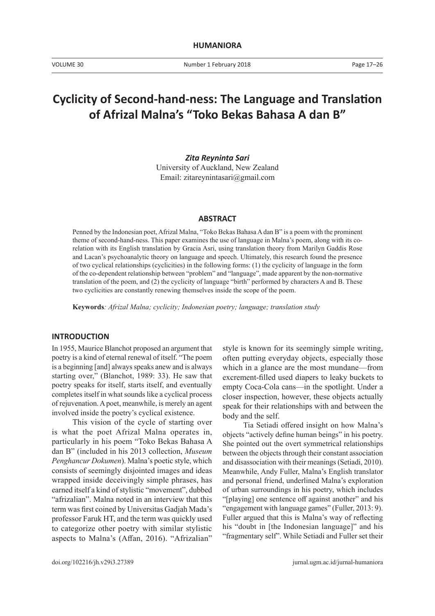# **Cyclicity of Second-hand-ness: The Language and Translation of Afrizal Malna's "Toko Bekas Bahasa A dan B"**

# *Zita Reyninta Sari*

University of Auckland, New Zealand Email: zitareynintasari@gmail.com

### **ABSTRACT**

Penned by the Indonesian poet, Afrizal Malna, "Toko Bekas Bahasa A dan B" is a poem with the prominent theme of second-hand-ness. This paper examines the use of language in Malna's poem, along with its corelation with its English translation by Gracia Asri, using translation theory from Marilyn Gaddis Rose and Lacan's psychoanalytic theory on language and speech. Ultimately, this research found the presence of two cyclical relationships (cyclicities) in the following forms: (1) the cyclicity of language in the form of the co-dependent relationship between "problem" and "language", made apparent by the non-normative translation of the poem, and (2) the cyclicity of language "birth" performed by characters A and B. These two cyclicities are constantly renewing themselves inside the scope of the poem.

**Keywords***: Afrizal Malna; cyclicity; Indonesian poetry; language; translation study*

### **INTRODUCTION**

In 1955, Maurice Blanchot proposed an argument that poetry is a kind of eternal renewal of itself. "The poem is a beginning [and] always speaks anew and is always starting over," (Blanchot, 1989: 33). He saw that poetry speaks for itself, starts itself, and eventually completes itself in what sounds like a cyclical process of rejuvenation. A poet, meanwhile, is merely an agent involved inside the poetry's cyclical existence.

This vision of the cycle of starting over is what the poet Afrizal Malna operates in, particularly in his poem "Toko Bekas Bahasa A dan B" (included in his 2013 collection, *Museum Penghancur Dokumen*). Malna's poetic style, which consists of seemingly disjointed images and ideas wrapped inside deceivingly simple phrases, has earned itself a kind of stylistic "movement", dubbed "afrizalian". Malna noted in an interview that this term was first coined by Universitas Gadjah Mada's professor Faruk HT, and the term was quickly used to categorize other poetry with similar stylistic aspects to Malna's (Affan, 2016). "Afrizalian"

style is known for its seemingly simple writing, often putting everyday objects, especially those which in a glance are the most mundane—from excrement-filled used diapers to leaky buckets to empty Coca-Cola cans—in the spotlight. Under a closer inspection, however, these objects actually speak for their relationships with and between the body and the self.

Tia Setiadi offered insight on how Malna's objects "actively define human beings" in his poetry. She pointed out the overt symmetrical relationships between the objects through their constant association and disassociation with their meanings (Setiadi, 2010). Meanwhile, Andy Fuller, Malna's English translator and personal friend, underlined Malna's exploration of urban surroundings in his poetry, which includes "[playing] one sentence off against another" and his "engagement with language games" (Fuller, 2013: 9). Fuller argued that this is Malna's way of reflecting his "doubt in [the Indonesian language]" and his "fragmentary self". While Setiadi and Fuller set their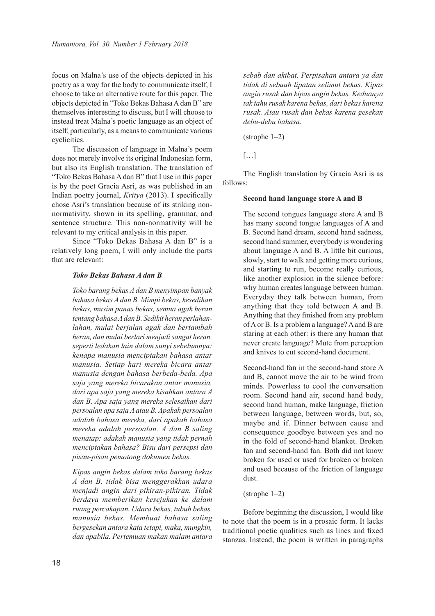focus on Malna's use of the objects depicted in his poetry as a way for the body to communicate itself, I choose to take an alternative route for this paper. The objects depicted in "Toko Bekas Bahasa A dan B" are themselves interesting to discuss, but I will choose to instead treat Malna's poetic language as an object of itself; particularly, as a means to communicate various cyclicities.

The discussion of language in Malna's poem does not merely involve its original Indonesian form, but also its English translation. The translation of "Toko Bekas Bahasa A dan B" that I use in this paper is by the poet Gracia Asri, as was published in an Indian poetry journal, *Kritya* (2013). I specifically chose Asri's translation because of its striking nonnormativity, shown in its spelling, grammar, and sentence structure. This non-normativity will be relevant to my critical analysis in this paper.

Since "Toko Bekas Bahasa A dan B" is a relatively long poem, I will only include the parts that are relevant:

### *Toko Bekas Bahasa A dan B*

*Toko barang bekas A dan B menyimpan banyak bahasa bekas A dan B. Mimpi bekas, kesedihan bekas, musim panas bekas, semua agak heran tentang bahasa A dan B. Sedikit heran perlahanlahan, mulai berjalan agak dan bertambah heran, dan mulai berlari menjadi sangat heran, seperti ledakan lain dalam sunyi sebelumnya: kenapa manusia menciptakan bahasa antar manusia. Setiap hari mereka bicara antar manusia dengan bahasa berbeda-beda. Apa saja yang mereka bicarakan antar manusia, dari apa saja yang mereka kisahkan antara A dan B. Apa saja yang mereka selesaikan dari persoalan apa saja A atau B. Apakah persoalan adalah bahasa mereka, dari apakah bahasa mereka adalah persoalan. A dan B saling menatap: adakah manusia yang tidak pernah menciptakan bahasa? Bisu dari persepsi dan pisau-pisau pemotong dokumen bekas.* 

*Kipas angin bekas dalam toko barang bekas A dan B, tidak bisa menggerakkan udara menjadi angin dari pikiran-pikiran. Tidak berdaya memberikan kesejukan ke dalam ruang percakapan. Udara bekas, tubuh bekas, manusia bekas. Membuat bahasa saling bergesekan antara kata tetapi, maka, mungkin, dan apabila. Pertemuan makan malam antara*  *sebab dan akibat. Perpisahan antara ya dan tidak di sebuah lipatan selimut bekas. Kipas angin rusak dan kipas angin bekas. Keduanya tak tahu rusak karena bekas, dari bekas karena rusak. Atau rusak dan bekas karena gesekan debu-debu bahasa.* 

(strophe 1–2)

[…]

The English translation by Gracia Asri is as follows:

# **Second hand language store A and B**

The second tongues language store A and B has many second tongue languages of A and B. Second hand dream, second hand sadness, second hand summer, everybody is wondering about language A and B. A little bit curious, slowly, start to walk and getting more curious, and starting to run, become really curious, like another explosion in the silence before: why human creates language between human. Everyday they talk between human, from anything that they told between A and B. Anything that they finished from any problem of A or B. Is a problem a language? A and B are staring at each other: is there any human that never create language? Mute from perception and knives to cut second-hand document.

Second-hand fan in the second-hand store A and B, cannot move the air to be wind from minds. Powerless to cool the conversation room. Second hand air, second hand body, second hand human, make language, friction between language, between words, but, so, maybe and if. Dinner between cause and consequence goodbye between yes and no in the fold of second-hand blanket. Broken fan and second-hand fan. Both did not know broken for used or used for broken or broken and used because of the friction of language dust.

# (strophe 1–2)

Before beginning the discussion, I would like to note that the poem is in a prosaic form. It lacks traditional poetic qualities such as lines and fixed stanzas. Instead, the poem is written in paragraphs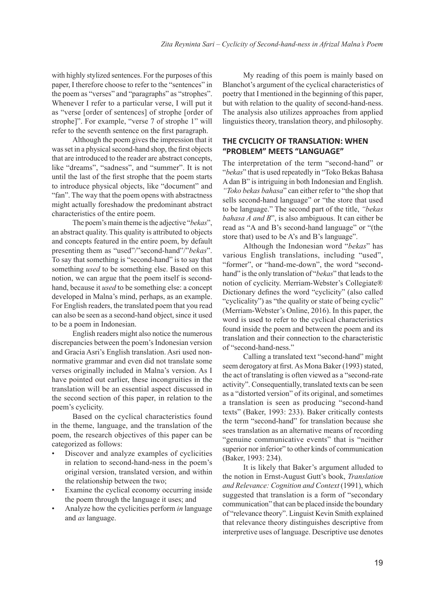with highly stylized sentences. For the purposes of this paper, I therefore choose to refer to the "sentences" in the poem as "verses" and "paragraphs" as "strophes". Whenever I refer to a particular verse, I will put it as "verse [order of sentences] of strophe [order of strophe]". For example, "verse 7 of strophe 1" will refer to the seventh sentence on the first paragraph.

Although the poem gives the impression that it was set in a physical second-hand shop, the first objects that are introduced to the reader are abstract concepts, like "dreams", "sadness", and "summer". It is not until the last of the first strophe that the poem starts to introduce physical objects, like "document" and "fan". The way that the poem opens with abstractness might actually foreshadow the predominant abstract characteristics of the entire poem.

The poem's main theme is the adjective "*bekas*", an abstract quality. This quality is attributed to objects and concepts featured in the entire poem, by default presenting them as "used"/"second-hand"/"*bekas*". To say that something is "second-hand" is to say that something *used* to be something else. Based on this notion, we can argue that the poem itself is secondhand, because it *used* to be something else: a concept developed in Malna's mind, perhaps, as an example. For English readers, the translated poem that you read can also be seen as a second-hand object, since it used to be a poem in Indonesian.

English readers might also notice the numerous discrepancies between the poem's Indonesian version and Gracia Asri's English translation. Asri used nonnormative grammar and even did not translate some verses originally included in Malna's version. As I have pointed out earlier, these incongruities in the translation will be an essential aspect discussed in the second section of this paper, in relation to the poem's cyclicity.

Based on the cyclical characteristics found in the theme, language, and the translation of the poem, the research objectives of this paper can be categorized as follows:

- Discover and analyze examples of cyclicities in relation to second-hand-ness in the poem's original version, translated version, and within the relationship between the two;
- Examine the cyclical economy occurring inside the poem through the language it uses; and
- Analyze how the cyclicities perform *in* language and *as* language.

My reading of this poem is mainly based on Blanchot's argument of the cyclical characteristics of poetry that I mentioned in the beginning of this paper, but with relation to the quality of second-hand-ness. The analysis also utilizes approaches from applied linguistics theory, translation theory, and philosophy.

# **THE CYCLICITY OF TRANSLATION: WHEN "PROBLEM" MEETS "LANGUAGE"**

The interpretation of the term "second-hand" or "*bekas*" that is used repeatedly in "Toko Bekas Bahasa A dan B" is intriguing in both Indonesian and English. *"Toko bekas bahasa*" can either refer to "the shop that sells second-hand language" or "the store that used to be language." The second part of the title, *"bekas bahasa A and B*", is also ambiguous. It can either be read as "A and B's second-hand language" or "(the store that) used to be A's and B's language".

Although the Indonesian word "*bekas*" has various English translations, including "used", "former", or "hand-me-down", the word "secondhand" is the only translation of "*bekas*" that leads to the notion of cyclicity. Merriam-Webster's Collegiate® Dictionary defines the word "cyclicity" (also called "cyclicality") as "the quality or state of being cyclic" (Merriam-Webster's Online, 2016). In this paper, the word is used to refer to the cyclical characteristics found inside the poem and between the poem and its translation and their connection to the characteristic of "second-hand-ness."

Calling a translated text "second-hand" might seem derogatory at first. As Mona Baker (1993) stated, the act of translating is often viewed as a "second-rate activity". Consequentially, translated texts can be seen as a "distorted version" of its original, and sometimes a translation is seen as producing "second-hand texts" (Baker, 1993: 233). Baker critically contests the term "second-hand" for translation because she sees translation as an alternative means of recording "genuine communicative events" that is "neither superior nor inferior" to other kinds of communication (Baker, 1993: 234).

It is likely that Baker's argument alluded to the notion in Ernst-August Gutt's book, *Translation and Relevance: Cognition and Context* (1991), which suggested that translation is a form of "secondary communication" that can be placed inside the boundary of "relevance theory". Linguist Kevin Smith explained that relevance theory distinguishes descriptive from interpretive uses of language. Descriptive use denotes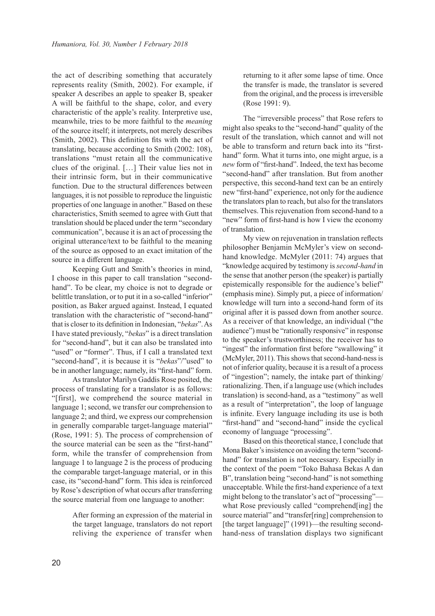the act of describing something that accurately represents reality (Smith, 2002). For example, if speaker A describes an apple to speaker B, speaker A will be faithful to the shape, color, and every characteristic of the apple's reality. Interpretive use, meanwhile, tries to be more faithful to the *meaning* of the source itself; it interprets, not merely describes (Smith, 2002). This definition fits with the act of translating, because according to Smith (2002: 108), translations "must retain all the communicative clues of the original. […] Their value lies not in their intrinsic form, but in their communicative function. Due to the structural differences between languages, it is not possible to reproduce the linguistic properties of one language in another." Based on these characteristics, Smith seemed to agree with Gutt that translation should be placed under the term "secondary communication", because it is an act of processing the original utterance/text to be faithful to the meaning of the source as opposed to an exact imitation of the source in a different language.

Keeping Gutt and Smith's theories in mind, I choose in this paper to call translation "secondhand". To be clear, my choice is not to degrade or belittle translation, or to put it in a so-called "inferior" position, as Baker argued against. Instead, I equated translation with the characteristic of "second-hand" that is closer to its definition in Indonesian, "*bekas*". As I have stated previously, "*bekas*" is a direct translation for "second-hand", but it can also be translated into "used" or "former". Thus, if I call a translated text "second-hand", it is because it is "*bekas*"/"used" to be in another language; namely, its "first-hand" form.

As translator Marilyn Gaddis Rose posited, the process of translating for a translator is as follows: "[first], we comprehend the source material in language 1; second, we transfer our comprehension to language 2; and third, we express our comprehension in generally comparable target-language material" (Rose, 1991: 5). The process of comprehension of the source material can be seen as the "first-hand" form, while the transfer of comprehension from language 1 to language 2 is the process of producing the comparable target-language material, or in this case, its "second-hand" form. This idea is reinforced by Rose's description of what occurs after transferring the source material from one language to another:

> After forming an expression of the material in the target language, translators do not report reliving the experience of transfer when

returning to it after some lapse of time. Once the transfer is made, the translator is severed from the original, and the process is irreversible (Rose 1991: 9).

The "irreversible process" that Rose refers to might also speaks to the "second-hand" quality of the result of the translation, which cannot and will not be able to transform and return back into its "firsthand" form. What it turns into, one might argue, is a *new* form of "first-hand". Indeed, the text has become "second-hand" after translation. But from another perspective, this second-hand text can be an entirely new "first-hand" experience, not only for the audience the translators plan to reach, but also for the translators themselves. This rejuvenation from second-hand to a "new" form of first-hand is how I view the economy of translation.

My view on rejuvenation in translation reflects philosopher Benjamin McMyler's view on secondhand knowledge. McMyler (2011: 74) argues that "knowledge acquired by testimony is *second-hand* in the sense that another person (the speaker) is partially epistemically responsible for the audience's belief" (emphasis mine). Simply put, a piece of information/ knowledge will turn into a second-hand form of its original after it is passed down from another source. As a receiver of that knowledge, an individual ("the audience") must be "rationally responsive" in response to the speaker's trustworthiness; the receiver has to "ingest" the information first before "swallowing" it (McMyler, 2011). This shows that second-hand-ness is not of inferior quality, because it is a result of a process of "ingestion"; namely, the intake part of thinking/ rationalizing. Then, if a language use (which includes translation) is second-hand, as a "testimony" as well as a result of "interpretation", the loop of language is infinite. Every language including its use is both "first-hand" and "second-hand" inside the cyclical economy of language "processing".

Based on this theoretical stance, I conclude that Mona Baker's insistence on avoiding the term "secondhand" for translation is not necessary. Especially in the context of the poem "Toko Bahasa Bekas A dan B", translation being "second-hand" is not something unacceptable. While the first-hand experience of a text might belong to the translator's act of "processing" what Rose previously called "comprehend[ing] the source material" and "transfer[ring] comprehension to [the target language]" (1991)—the resulting secondhand-ness of translation displays two significant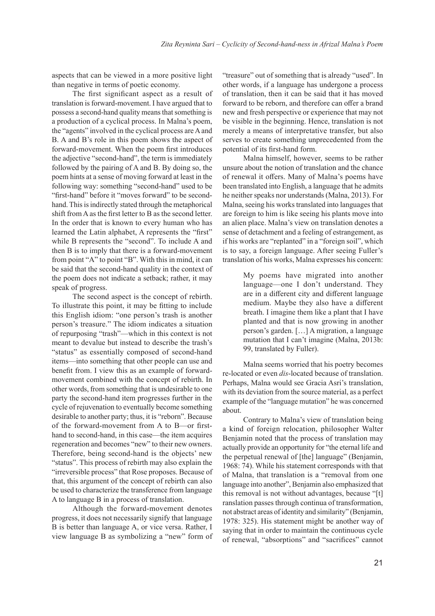aspects that can be viewed in a more positive light than negative in terms of poetic economy.

The first significant aspect as a result of translation is forward-movement. I have argued that to possess a second-hand quality means that something is a production of a cyclical process. In Malna's poem, the "agents" involved in the cyclical process are A and B. A and B's role in this poem shows the aspect of forward-movement. When the poem first introduces the adjective "second-hand", the term is immediately followed by the pairing of A and B. By doing so, the poem hints at a sense of moving forward at least in the following way: something "second-hand" used to be "first-hand" before it "moves forward" to be secondhand. This is indirectly stated through the metaphorical shift from A as the first letter to B as the second letter. In the order that is known to every human who has learned the Latin alphabet, A represents the "first" while B represents the "second". To include A and then B is to imply that there is a forward-movement from point "A" to point "B". With this in mind, it can be said that the second-hand quality in the context of the poem does not indicate a setback; rather, it may speak of progress.

The second aspect is the concept of rebirth. To illustrate this point, it may be fitting to include this English idiom: "one person's trash is another person's treasure." The idiom indicates a situation of repurposing "trash"—which in this context is not meant to devalue but instead to describe the trash's "status" as essentially composed of second-hand items—into something that other people can use and benefit from. I view this as an example of forwardmovement combined with the concept of rebirth. In other words, from something that is undesirable to one party the second-hand item progresses further in the cycle of rejuvenation to eventually become something desirable to another party; thus, it is "reborn". Because of the forward-movement from A to B—or firsthand to second-hand, in this case—the item acquires regeneration and becomes "new" to their new owners. Therefore, being second-hand is the objects' new "status". This process of rebirth may also explain the "irreversible process" that Rose proposes. Because of that, this argument of the concept of rebirth can also be used to characterize the transference from language A to language B in a process of translation.

Although the forward-movement denotes progress, it does not necessarily signify that language B is better than language A, or vice versa. Rather, I view language B as symbolizing a "new" form of "treasure" out of something that is already "used". In other words, if a language has undergone a process of translation, then it can be said that it has moved forward to be reborn, and therefore can offer a brand new and fresh perspective or experience that may not be visible in the beginning. Hence, translation is not merely a means of interpretative transfer, but also serves to create something unprecedented from the potential of its first-hand form.

Malna himself, however, seems to be rather unsure about the notion of translation and the chance of renewal it offers. Many of Malna's poems have been translated into English, a language that he admits he neither speaks nor understands (Malna, 2013). For Malna, seeing his works translated into languages that are foreign to him is like seeing his plants move into an alien place. Malna's view on translation denotes a sense of detachment and a feeling of estrangement, as if his works are "replanted" in a "foreign soil", which is to say, a foreign language. After seeing Fuller's translation of his works, Malna expresses his concern:

> My poems have migrated into another language—one I don't understand. They are in a different city and different language medium. Maybe they also have a different breath. I imagine them like a plant that I have planted and that is now growing in another person's garden. […] A migration, a language mutation that I can't imagine (Malna, 2013b: 99, translated by Fuller).

Malna seems worried that his poetry becomes re-located or even *dis*-located because of translation. Perhaps, Malna would see Gracia Asri's translation, with its deviation from the source material, as a perfect example of the "language mutation" he was concerned about.

Contrary to Malna's view of translation being a kind of foreign relocation, philosopher Walter Benjamin noted that the process of translation may actually provide an opportunity for "the eternal life and the perpetual renewal of [the] language" (Benjamin, 1968: 74). While his statement corresponds with that of Malna, that translation is a "removal from one language into another", Benjamin also emphasized that this removal is not without advantages, because "[t] ranslation passes through continua of transformation, not abstract areas of identity and similarity" (Benjamin, 1978: 325). His statement might be another way of saying that in order to maintain the continuous cycle of renewal, "absorptions" and "sacrifices" cannot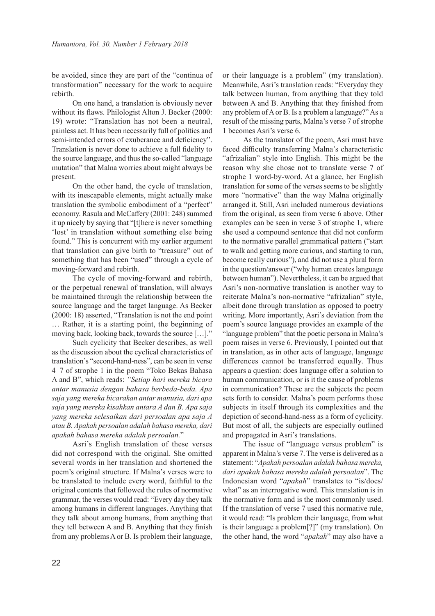be avoided, since they are part of the "continua of transformation" necessary for the work to acquire rebirth.

On one hand, a translation is obviously never without its flaws. Philologist Alton J. Becker (2000: 19) wrote: "Translation has not been a neutral, painless act. It has been necessarily full of politics and semi-intended errors of exuberance and deficiency". Translation is never done to achieve a full fidelity to the source language, and thus the so-called "language mutation" that Malna worries about might always be present.

On the other hand, the cycle of translation, with its inescapable elements, might actually make translation the symbolic embodiment of a "perfect" economy. Rasula and McCaffery (2001: 248) summed it up nicely by saying that "[t]here is never something 'lost' in translation without something else being found." This is concurrent with my earlier argument that translation can give birth to "treasure" out of something that has been "used" through a cycle of moving-forward and rebirth.

The cycle of moving-forward and rebirth, or the perpetual renewal of translation, will always be maintained through the relationship between the source language and the target language. As Becker (2000: 18) asserted, "Translation is not the end point … Rather, it is a starting point, the beginning of moving back, looking back, towards the source […]."

Such cyclicity that Becker describes, as well as the discussion about the cyclical characteristics of translation's "second-hand-ness", can be seen in verse 4–7 of strophe 1 in the poem "Toko Bekas Bahasa A and B", which reads: *"Setiap hari mereka bicara antar manusia dengan bahasa berbeda-beda. Apa saja yang mereka bicarakan antar manusia, dari apa saja yang mereka kisahkan antara A dan B. Apa saja yang mereka selesaikan dari persoalan apa saja A atau B. Apakah persoalan adalah bahasa mereka, dari apakah bahasa mereka adalah persoalan.*"

Asri's English translation of these verses did not correspond with the original. She omitted several words in her translation and shortened the poem's original structure. If Malna's verses were to be translated to include every word, faithful to the original contents that followed the rules of normative grammar, the verses would read: "Every day they talk among humans in different languages. Anything that they talk about among humans, from anything that they tell between A and B. Anything that they finish from any problems A or B. Is problem their language,

or their language is a problem" (my translation). Meanwhile, Asri's translation reads: "Everyday they talk between human, from anything that they told between A and B. Anything that they finished from any problem of A or B. Is a problem a language?" As a result of the missing parts, Malna's verse 7 of strophe 1 becomes Asri's verse 6.

As the translator of the poem, Asri must have faced difficulty transferring Malna's characteristic "afrizalian" style into English. This might be the reason why she chose not to translate verse 7 of strophe 1 word-by-word. At a glance, her English translation for some of the verses seems to be slightly more "normative" than the way Malna originally arranged it. Still, Asri included numerous deviations from the original, as seen from verse 6 above. Other examples can be seen in verse 3 of strophe 1, where she used a compound sentence that did not conform to the normative parallel grammatical pattern ("start to walk and getting more curious, and starting to run, become really curious"), and did not use a plural form in the question/answer ("why human creates language between human"). Nevertheless, it can be argued that Asri's non-normative translation is another way to reiterate Malna's non-normative "afrizalian" style, albeit done through translation as opposed to poetry writing. More importantly, Asri's deviation from the poem's source language provides an example of the "language problem" that the poetic persona in Malna's poem raises in verse 6. Previously, I pointed out that in translation, as in other acts of language, language differences cannot be transferred equally. Thus appears a question: does language offer a solution to human communication, or is it the cause of problems in communication? These are the subjects the poem sets forth to consider. Malna's poem performs those subjects in itself through its complexities and the depiction of second-hand-ness as a form of cyclicity. But most of all, the subjects are especially outlined and propagated in Asri's translations.

The issue of "language versus problem" is apparent in Malna's verse 7. The verse is delivered as a statement: "*Apakah persoalan adalah bahasa mereka, dari apakah bahasa mereka adalah persoalan*". The Indonesian word "*apakah*" translates to "is/does/ what" as an interrogative word. This translation is in the normative form and is the most commonly used. If the translation of verse 7 used this normative rule, it would read: "Is problem their language, from what is their language a problem[?]" (my translation). On the other hand, the word "*apakah*" may also have a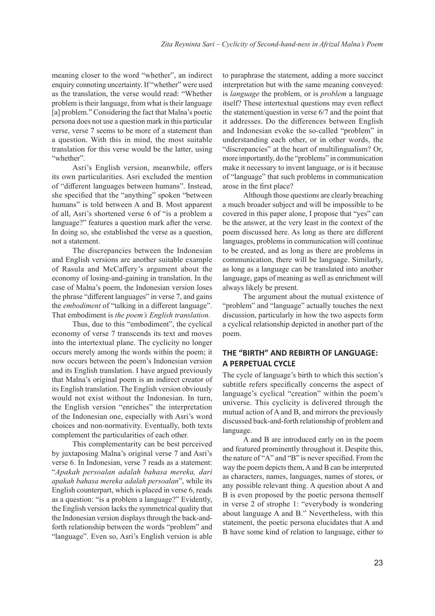meaning closer to the word "whether", an indirect enquiry connoting uncertainty. If "whether" were used as the translation, the verse would read: "Whether problem is their language, from what is their language [a] problem." Considering the fact that Malna's poetic persona does not use a question mark in this particular verse, verse 7 seems to be more of a statement than a question. With this in mind, the most suitable translation for this verse would be the latter, using "whether".

Asri's English version, meanwhile, offers its own particularities. Asri excluded the mention of "different languages between humans". Instead, she specified that the "anything" spoken "between humans" is told between A and B. Most apparent of all, Asri's shortened verse 6 of "is a problem a language?" features a question mark after the verse. In doing so, she established the verse as a question, not a statement.

The discrepancies between the Indonesian and English versions are another suitable example of Rasula and McCaffery's argument about the economy of losing-and-gaining in translation. In the case of Malna's poem, the Indonesian version loses the phrase "different languages" in verse 7, and gains the *embodiment* of "talking in a different language". That embodiment is *the poem's English translation*.

Thus, due to this "embodiment", the cyclical economy of verse 7 transcends its text and moves into the intertextual plane. The cyclicity no longer occurs merely among the words within the poem; it now occurs between the poem's Indonesian version and its English translation. I have argued previously that Malna's original poem is an indirect creator of its English translation. The English version obviously would not exist without the Indonesian. In turn, the English version "enriches" the interpretation of the Indonesian one, especially with Asri's word choices and non-normativity. Eventually, both texts complement the particularities of each other.

This complementarity can be best perceived by juxtaposing Malna's original verse 7 and Asri's verse 6. In Indonesian, verse 7 reads as a statement: "*Apakah persoalan adalah bahasa mereka, dari apakah bahasa mereka adalah persoalan*", while its English counterpart, which is placed in verse 6, reads as a question: "is a problem a language?" Evidently, the English version lacks the symmetrical quality that the Indonesian version displays through the back-andforth relationship between the words "problem" and "language". Even so, Asri's English version is able

to paraphrase the statement, adding a more succinct interpretation but with the same meaning conveyed: is *language* the problem, or is *problem* a language itself? These intertextual questions may even reflect the statement/question in verse 6/7 and the point that it addresses. Do the differences between English and Indonesian evoke the so-called "problem" in understanding each other, or in other words, the "discrepancies" at the heart of multilingualism? Or, more importantly, do the "problems" in communication make it necessary to invent language, or is it because of "language" that such problems in communication arose in the first place?

Although those questions are clearly breaching a much broader subject and will be impossible to be covered in this paper alone, I propose that "yes" can be the answer, at the very least in the context of the poem discussed here. As long as there are different languages, problems in communication will continue to be created, and as long as there are problems in communication, there will be language. Similarly, as long as a language can be translated into another language, gaps of meaning as well as enrichment will always likely be present.

The argument about the mutual existence of "problem" and "language" actually touches the next discussion, particularly in how the two aspects form a cyclical relationship depicted in another part of the poem.

# **THE "BIRTH" AND REBIRTH OF LANGUAGE: A PERPETUAL CYCLE**

The cycle of language's birth to which this section's subtitle refers specifically concerns the aspect of language's cyclical "creation" within the poem's universe. This cyclicity is delivered through the mutual action of A and B, and mirrors the previously discussed back-and-forth relationship of problem and language.

A and B are introduced early on in the poem and featured prominently throughout it. Despite this, the nature of "A" and "B" is never specified. From the way the poem depicts them, A and B can be interpreted as characters, names, languages, names of stores, or any possible relevant thing. A question about A and B is even proposed by the poetic persona themself in verse 2 of strophe 1: "everybody is wondering about language A and B." Nevertheless, with this statement, the poetic persona elucidates that A and B have some kind of relation to language, either to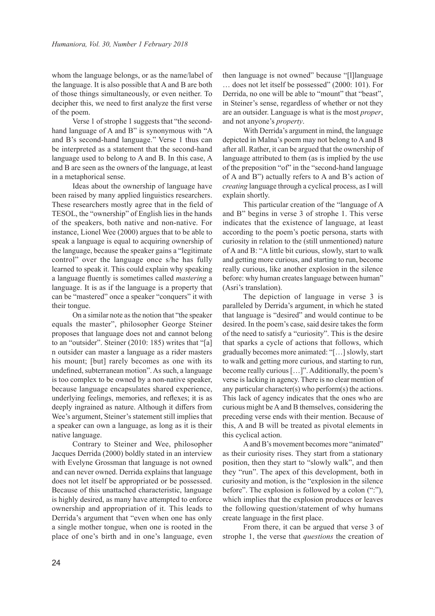whom the language belongs, or as the name/label of the language. It is also possible that A and B are both of those things simultaneously, or even neither. To decipher this, we need to first analyze the first verse of the poem.

Verse 1 of strophe 1 suggests that "the secondhand language of A and B" is synonymous with "A and B's second-hand language." Verse 1 thus can be interpreted as a statement that the second-hand language used to belong to A and B. In this case, A and B are seen as the owners of the language, at least in a metaphorical sense.

Ideas about the ownership of language have been raised by many applied linguistics researchers. These researchers mostly agree that in the field of TESOL, the "ownership" of English lies in the hands of the speakers, both native and non-native. For instance, Lionel Wee (2000) argues that to be able to speak a language is equal to acquiring ownership of the language, because the speaker gains a "legitimate control" over the language once s/he has fully learned to speak it. This could explain why speaking a language fluently is sometimes called *mastering* a language. It is as if the language is a property that can be "mastered" once a speaker "conquers" it with their tongue.

On a similar note as the notion that "the speaker equals the master", philosopher George Steiner proposes that language does not and cannot belong to an "outsider". Steiner (2010: 185) writes that "[a] n outsider can master a language as a rider masters his mount; [but] rarely becomes as one with its undefined, subterranean motion". As such, a language is too complex to be owned by a non-native speaker, because language encapsulates shared experience, underlying feelings, memories, and reflexes; it is as deeply ingrained as nature. Although it differs from Wee's argument, Steiner's statement still implies that a speaker can own a language, as long as it is their native language.

Contrary to Steiner and Wee, philosopher Jacques Derrida (2000) boldly stated in an interview with Evelyne Grossman that language is not owned and can never owned. Derrida explains that language does not let itself be appropriated or be possessed. Because of this unattached characteristic, language is highly desired, as many have attempted to enforce ownership and appropriation of it. This leads to Derrida's argument that "even when one has only a single mother tongue, when one is rooted in the place of one's birth and in one's language, even

then language is not owned" because "[l]language … does not let itself be possessed" (2000: 101). For Derrida, no one will be able to "mount" that "beast", in Steiner's sense, regardless of whether or not they are an outsider. Language is what is the most *proper*, and not anyone's *property*.

With Derrida's argument in mind, the language depicted in Malna's poem may not belong to A and B after all. Rather, it can be argued that the ownership of language attributed to them (as is implied by the use of the preposition "of" in the "second-hand language of A and B") actually refers to A and B's action of *creating* language through a cyclical process, as I will explain shortly.

This particular creation of the "language of A and B" begins in verse 3 of strophe 1. This verse indicates that the existence of language, at least according to the poem's poetic persona, starts with curiosity in relation to the (still unmentioned) nature of A and B: "A little bit curious, slowly, start to walk and getting more curious, and starting to run, become really curious, like another explosion in the silence before: why human creates language between human" (Asri's translation).

The depiction of language in verse 3 is paralleled by Derrida's argument, in which he stated that language is "desired" and would continue to be desired. In the poem's case, said desire takes the form of the need to satisfy a "curiosity". This is the desire that sparks a cycle of actions that follows, which gradually becomes more animated: "[…] slowly, start to walk and getting more curious, and starting to run, become really curious [...]". Additionally, the poem's verse is lacking in agency. There is no clear mention of any particular character(s) who perform(s) the actions. This lack of agency indicates that the ones who are curious might be A and B themselves, considering the preceding verse ends with their mention. Because of this, A and B will be treated as pivotal elements in this cyclical action.

A and B's movement becomes more "animated" as their curiosity rises. They start from a stationary position, then they start to "slowly walk", and then they "run". The apex of this development, both in curiosity and motion, is the "explosion in the silence before". The explosion is followed by a colon (":"), which implies that the explosion produces or leaves the following question/statement of why humans create language in the first place.

From there, it can be argued that verse 3 of strophe 1, the verse that *questions* the creation of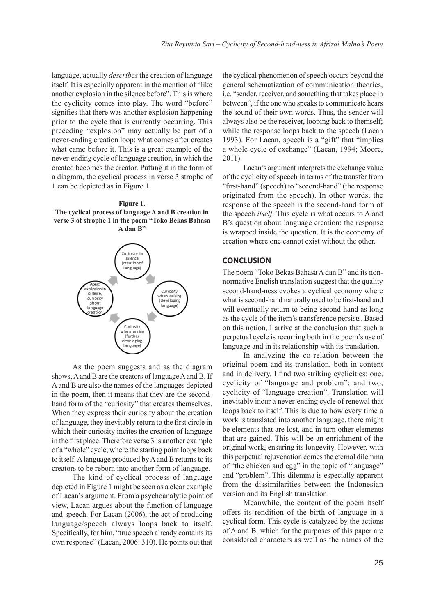language, actually *describes* the creation of language itself. It is especially apparent in the mention of "like another explosion in the silence before". This is where the cyclicity comes into play. The word "before" signifies that there was another explosion happening prior to the cycle that is currently occurring. This preceding "explosion" may actually be part of a never-ending creation loop: what comes after creates what came before it. This is a great example of the never-ending cycle of language creation, in which the created becomes the creator. Putting it in the form of a diagram, the cyclical process in verse 3 strophe of 1 can be depicted as in Figure 1.

#### **Figure 1.**

**The cyclical process of language A and B creation in verse 3 of strophe 1 in the poem "Toko Bekas Bahasa A dan B"**



As the poem suggests and as the diagram shows, A and B are the creators of language A and B. If A and B are also the names of the languages depicted in the poem, then it means that they are the secondhand form of the "curiosity" that creates themselves. When they express their curiosity about the creation of language, they inevitably return to the first circle in which their curiosity incites the creation of language in the first place. Therefore verse 3 is another example of a "whole" cycle, where the starting point loops back to itself. A language produced by A and B returns to its creators to be reborn into another form of language.

The kind of cyclical process of language depicted in Figure 1 might be seen as a clear example of Lacan's argument. From a psychoanalytic point of view, Lacan argues about the function of language and speech. For Lacan (2006), the act of producing language/speech always loops back to itself. Specifically, for him, "true speech already contains its own response" (Lacan, 2006: 310). He points out that

the cyclical phenomenon of speech occurs beyond the general schematization of communication theories, i.e. "sender, receiver, and something that takes place in between", if the one who speaks to communicate hears the sound of their own words. Thus, the sender will always also be the receiver, looping back to themself; while the response loops back to the speech (Lacan 1993). For Lacan, speech is a "gift" that "implies a whole cycle of exchange" (Lacan, 1994; Moore, 2011).

Lacan's argument interprets the exchange value of the cyclicity of speech in terms of the transfer from "first-hand" (speech) to "second-hand" (the response originated from the speech). In other words, the response of the speech is the second-hand form of the speech *itself*. This cycle is what occurs to A and B's question about language creation: the response is wrapped inside the question. It is the economy of creation where one cannot exist without the other.

# **CONCLUSION**

The poem "Toko Bekas Bahasa A dan B" and its nonnormative English translation suggest that the quality second-hand-ness evokes a cyclical economy where what is second-hand naturally used to be first-hand and will eventually return to being second-hand as long as the cycle of the item's transference persists. Based on this notion, I arrive at the conclusion that such a perpetual cycle is recurring both in the poem's use of language and in its relationship with its translation.

In analyzing the co-relation between the original poem and its translation, both in content and in delivery, I find two striking cyclicities: one, cyclicity of "language and problem"; and two, cyclicity of "language creation". Translation will inevitably incur a never-ending cycle of renewal that loops back to itself. This is due to how every time a work is translated into another language, there might be elements that are lost, and in turn other elements that are gained. This will be an enrichment of the original work, ensuring its longevity. However, with this perpetual rejuvenation comes the eternal dilemma of "the chicken and egg" in the topic of "language" and "problem". This dilemma is especially apparent from the dissimilarities between the Indonesian version and its English translation.

Meanwhile, the content of the poem itself offers its rendition of the birth of language in a cyclical form. This cycle is catalyzed by the actions of A and B, which for the purposes of this paper are considered characters as well as the names of the